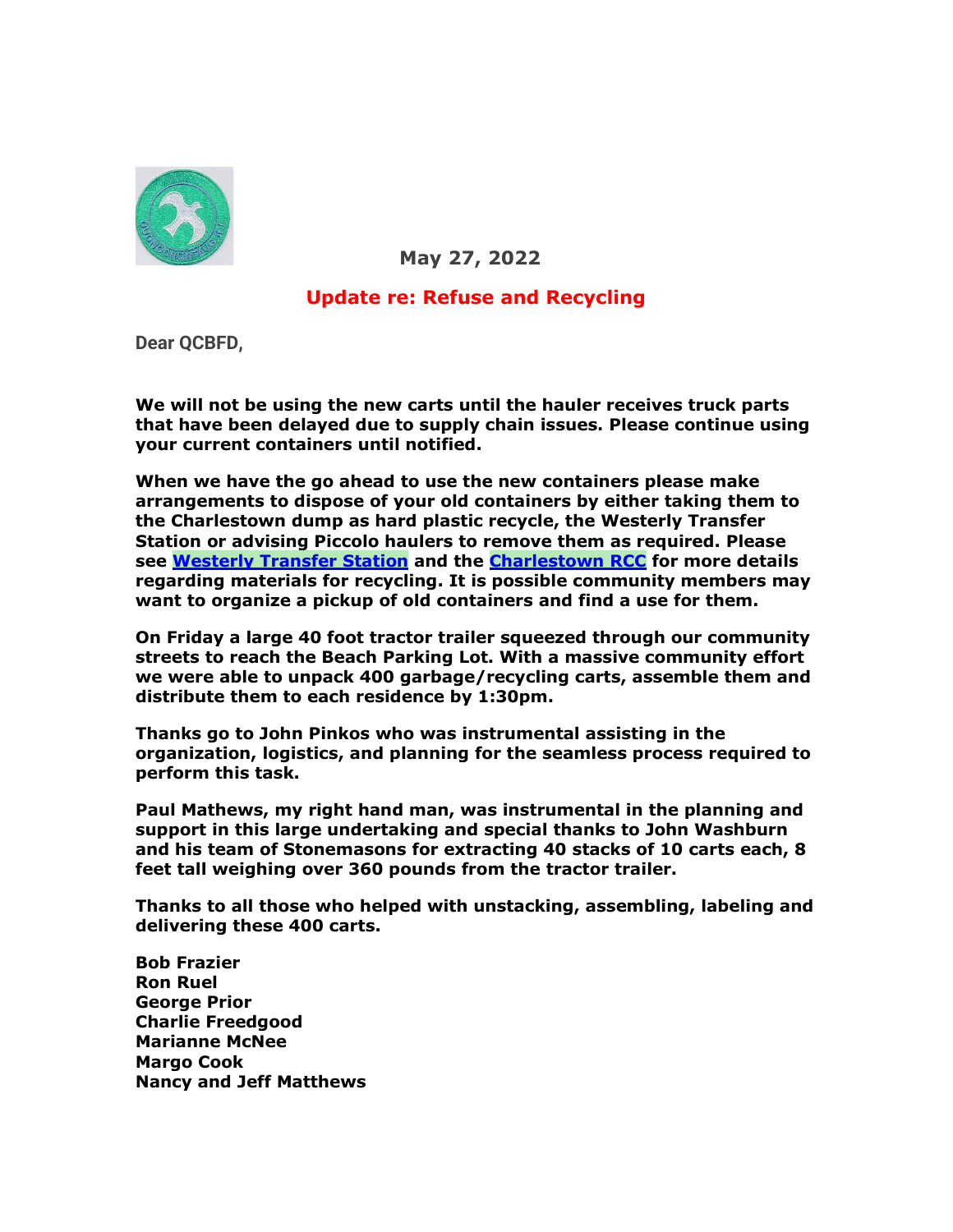

 **May 27, 2022**

## **Update re: Refuse and Recycling**

**Dear QCBFD,**

**We will not be using the new carts until the hauler receives truck parts that have been delayed due to supply chain issues. Please continue using your current containers until notified.**

**When we have the go ahead to use the new containers please make arrangements to dispose of your old containers by either taking them to the Charlestown dump as hard plastic recycle, the Westerly Transfer Station or advising Piccolo haulers to remove them as required. Please see [Westerly Transfer Station](https://r20.rs6.net/tn.jsp?f=001mrOrvTJgywxLESTAgz3DhDPbG1hN57phQQIidKE_qQSE_jvgghQ9d0Ivf36uALri75oE39QFFnYxqASr-vROxbjp_a0xT25_03kbO6YkFP4D0DKlt18biAL3M1sx7tGoZVBUe65B-Y89hg14amUP8MnCumPWr4R2sVepoOi9LyrrLSVR453Ubw==&c=Z3AEKn2W7ZtCikCACctvcZR7CV8TCDpmXOTy0G8EXGY69KySOp9wcw==&ch=-dnUAPYIKz2978FL619XKXyH5v9-HpHba7IKnwxma5nhK1jzjrHq3g==) and the [Charlestown RCC](https://r20.rs6.net/tn.jsp?f=001mrOrvTJgywxLESTAgz3DhDPbG1hN57phQQIidKE_qQSE_jvgghQ9d0Ivf36uALrinEmWtZ_CvUtwjdifzkDe17C7kMx7OK6oIEczhgf1nnNMmqppaYYgz0rIR2lrtigrnSi-MBeJYo-vBqqTdRsK6zJ9-45MwW30r4wOQdwYPSF5QXKImfVaRkW2WVwId4b1n-1xEZOrSDaCOUfETE9rEu5vMtbt125a5fK9RIu9DYxrYx-Wcin_yDFB-JsGU8v8YBH9NExQb8xWR_SLa01OUQXBBDsxfYD8&c=Z3AEKn2W7ZtCikCACctvcZR7CV8TCDpmXOTy0G8EXGY69KySOp9wcw==&ch=-dnUAPYIKz2978FL619XKXyH5v9-HpHba7IKnwxma5nhK1jzjrHq3g==) for more details regarding materials for recycling. It is possible community members may want to organize a pickup of old containers and find a use for them.**

**On Friday a large 40 foot tractor trailer squeezed through our community streets to reach the Beach Parking Lot. With a massive community effort we were able to unpack 400 garbage/recycling carts, assemble them and distribute them to each residence by 1:30pm.**

**Thanks go to John Pinkos who was instrumental assisting in the organization, logistics, and planning for the seamless process required to perform this task.**

**Paul Mathews, my right hand man, was instrumental in the planning and support in this large undertaking and special thanks to John Washburn and his team of Stonemasons for extracting 40 stacks of 10 carts each, 8 feet tall weighing over 360 pounds from the tractor trailer.**

**Thanks to all those who helped with unstacking, assembling, labeling and delivering these 400 carts.**

**Bob Frazier Ron Ruel George Prior Charlie Freedgood Marianne McNee Margo Cook Nancy and Jeff Matthews**